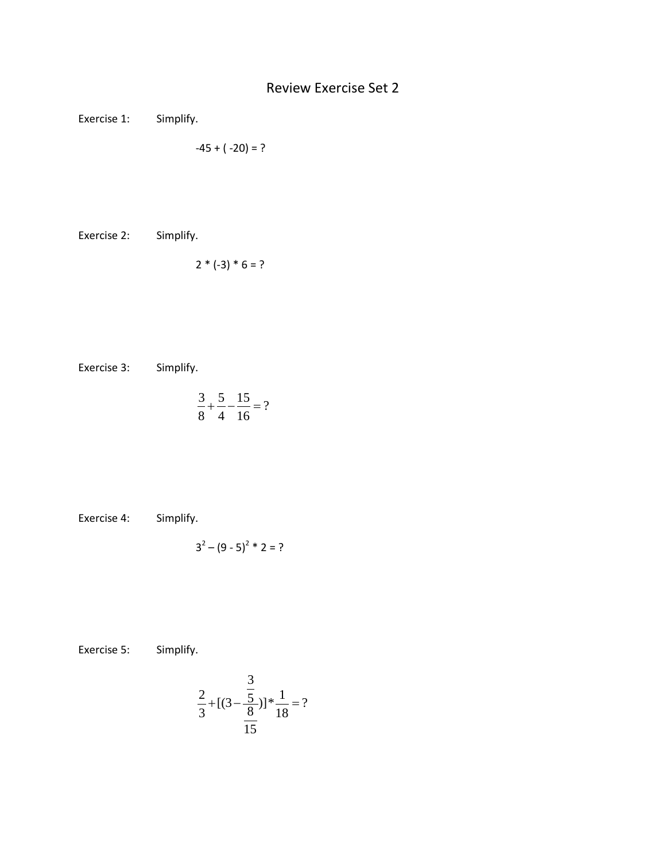## Review Exercise Set 2

Exercise 1: Simplify.

$$
-45 + (-20) = ?
$$

Exercise 2: Simplify.

$$
2 * (-3) * 6 = ?
$$

Exercise 3: Simplify.

$$
\frac{3}{8} + \frac{5}{4} - \frac{15}{16} = ?
$$

Exercise 4: Simplify.

$$
3^2 - (9-5)^2 * 2 = ?
$$

Exercise 5: Simplify.

$$
\frac{2}{3} + [(3 - \frac{\frac{3}{5}}{\frac{8}{15}})]^* \frac{1}{18} = ?
$$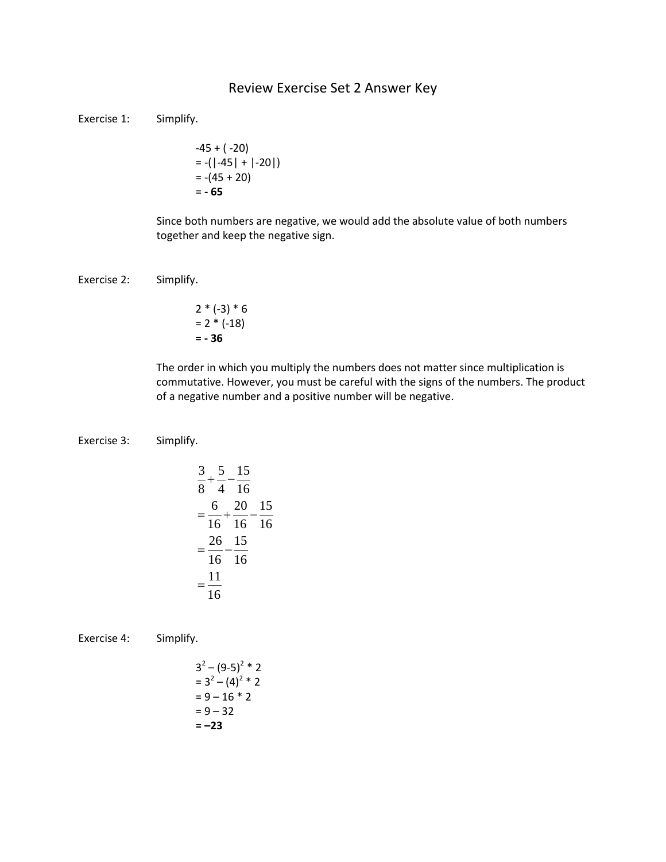## Review Exercise Set 2 Answer Key

Exercise 1: Simplify.

$$
-45 + (-20)
$$
  
= -(-45) + (-20)   
= -(45 + 20)  
= -65

Since both numbers are negative, we would add the absolute value of both numbers together and keep the negative sign.

## Exercise 2: Simplify.

$$
2 * (-3) * 6
$$
  
= 2 \* (-18)  
= - 36

The order in which you multiply the numbers does not matter since multiplication is commutative. However, you must be careful with the signs of the numbers. The product of a negative number and a positive number will be negative.

## Exercise 3: Simplify.

$$
\frac{3}{8} + \frac{5}{4} - \frac{15}{16}
$$
  
=  $\frac{6}{16} + \frac{20}{16} - \frac{15}{16}$   
=  $\frac{26}{16} - \frac{15}{16}$   
=  $\frac{11}{16}$ 

Exercise 4: Simplify.

$$
32 - (9-5)2 * 2
$$
  
= 3<sup>2</sup> - (4)<sup>2</sup> \* 2  
= 9 - 16 \* 2  
= 9 - 32  
= -23